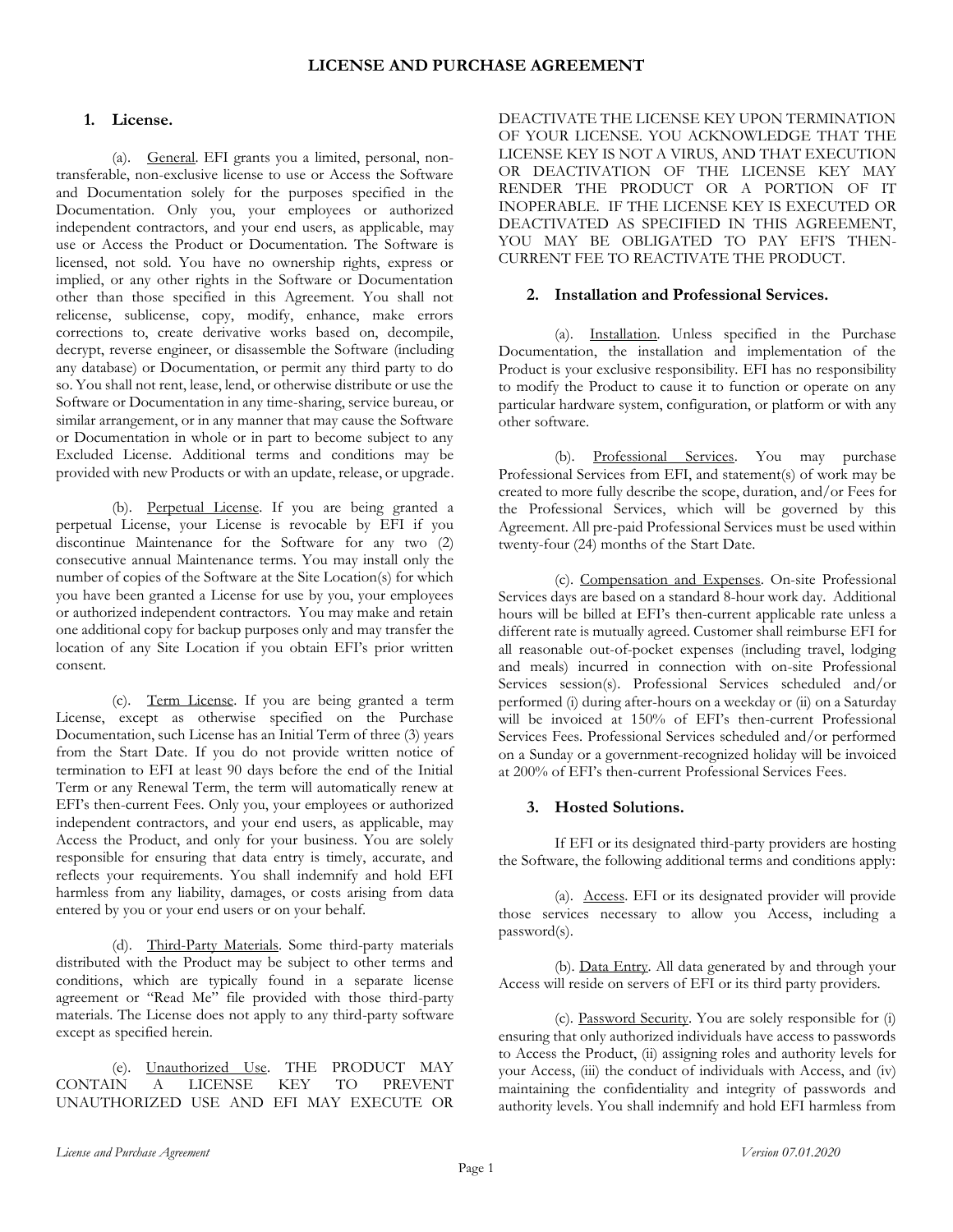# **1. License.**

(a). General. EFI grants you a limited, personal, nontransferable, non-exclusive license to use or Access the Software and Documentation solely for the purposes specified in the Documentation. Only you, your employees or authorized independent contractors, and your end users, as applicable, may use or Access the Product or Documentation. The Software is licensed, not sold. You have no ownership rights, express or implied, or any other rights in the Software or Documentation other than those specified in this Agreement. You shall not relicense, sublicense, copy, modify, enhance, make errors corrections to, create derivative works based on, decompile, decrypt, reverse engineer, or disassemble the Software (including any database) or Documentation, or permit any third party to do so. You shall not rent, lease, lend, or otherwise distribute or use the Software or Documentation in any time-sharing, service bureau, or similar arrangement, or in any manner that may cause the Software or Documentation in whole or in part to become subject to any Excluded License. Additional terms and conditions may be provided with new Products or with an update, release, or upgrade.

(b). Perpetual License. If you are being granted a perpetual License, your License is revocable by EFI if you discontinue Maintenance for the Software for any two (2) consecutive annual Maintenance terms. You may install only the number of copies of the Software at the Site Location(s) for which you have been granted a License for use by you, your employees or authorized independent contractors. You may make and retain one additional copy for backup purposes only and may transfer the location of any Site Location if you obtain EFI's prior written consent.

(c). Term License. If you are being granted a term License, except as otherwise specified on the Purchase Documentation, such License has an Initial Term of three (3) years from the Start Date. If you do not provide written notice of termination to EFI at least 90 days before the end of the Initial Term or any Renewal Term, the term will automatically renew at EFI's then-current Fees. Only you, your employees or authorized independent contractors, and your end users, as applicable, may Access the Product, and only for your business. You are solely responsible for ensuring that data entry is timely, accurate, and reflects your requirements. You shall indemnify and hold EFI harmless from any liability, damages, or costs arising from data entered by you or your end users or on your behalf.

(d). Third-Party Materials. Some third-party materials distributed with the Product may be subject to other terms and conditions, which are typically found in a separate license agreement or "Read Me" file provided with those third-party materials. The License does not apply to any third-party software except as specified herein.

(e). Unauthorized Use. THE PRODUCT MAY CONTAIN A LICENSE KEY TO PREVENT UNAUTHORIZED USE AND EFI MAY EXECUTE OR

DEACTIVATE THE LICENSE KEY UPON TERMINATION OF YOUR LICENSE. YOU ACKNOWLEDGE THAT THE LICENSE KEY IS NOT A VIRUS, AND THAT EXECUTION OR DEACTIVATION OF THE LICENSE KEY MAY RENDER THE PRODUCT OR A PORTION OF IT INOPERABLE. IF THE LICENSE KEY IS EXECUTED OR DEACTIVATED AS SPECIFIED IN THIS AGREEMENT, YOU MAY BE OBLIGATED TO PAY EFI'S THEN-CURRENT FEE TO REACTIVATE THE PRODUCT.

# **2. Installation and Professional Services.**

(a). Installation. Unless specified in the Purchase Documentation, the installation and implementation of the Product is your exclusive responsibility. EFI has no responsibility to modify the Product to cause it to function or operate on any particular hardware system, configuration, or platform or with any other software.

(b). Professional Services. You may purchase Professional Services from EFI, and statement(s) of work may be created to more fully describe the scope, duration, and/or Fees for the Professional Services, which will be governed by this Agreement. All pre-paid Professional Services must be used within twenty-four (24) months of the Start Date.

(c). Compensation and Expenses. On-site Professional Services days are based on a standard 8-hour work day. Additional hours will be billed at EFI's then-current applicable rate unless a different rate is mutually agreed. Customer shall reimburse EFI for all reasonable out-of-pocket expenses (including travel, lodging and meals) incurred in connection with on-site Professional Services session(s). Professional Services scheduled and/or performed (i) during after-hours on a weekday or (ii) on a Saturday will be invoiced at 150% of EFI's then-current Professional Services Fees. Professional Services scheduled and/or performed on a Sunday or a government-recognized holiday will be invoiced at 200% of EFI's then-current Professional Services Fees.

# **3. Hosted Solutions.**

If EFI or its designated third-party providers are hosting the Software, the following additional terms and conditions apply:

(a). Access. EFI or its designated provider will provide those services necessary to allow you Access, including a password(s).

(b). Data Entry. All data generated by and through your Access will reside on servers of EFI or its third party providers.

(c). Password Security. You are solely responsible for (i) ensuring that only authorized individuals have access to passwords to Access the Product, (ii) assigning roles and authority levels for your Access, (iii) the conduct of individuals with Access, and (iv) maintaining the confidentiality and integrity of passwords and authority levels. You shall indemnify and hold EFI harmless from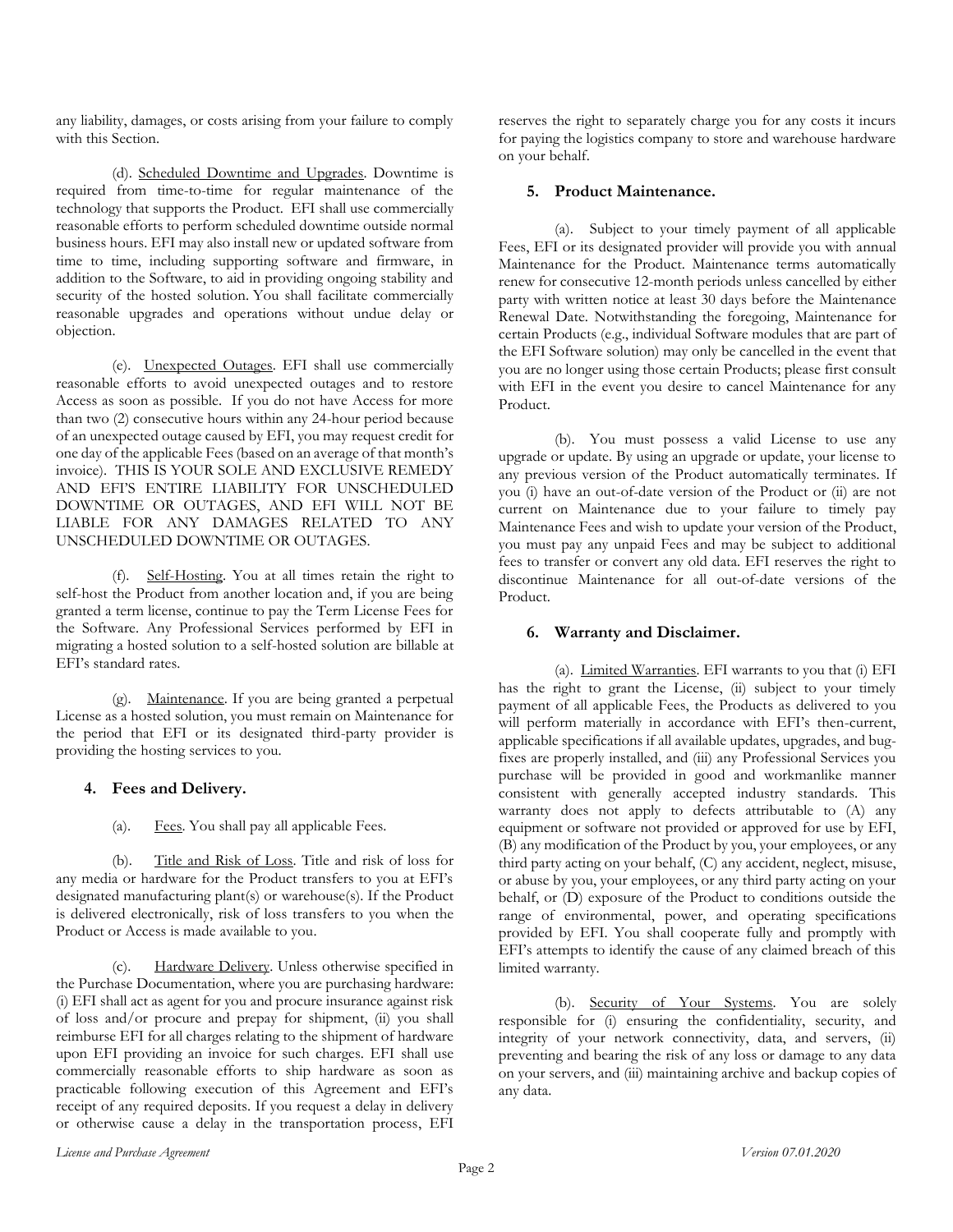any liability, damages, or costs arising from your failure to comply with this Section.

(d). Scheduled Downtime and Upgrades. Downtime is required from time-to-time for regular maintenance of the technology that supports the Product. EFI shall use commercially reasonable efforts to perform scheduled downtime outside normal business hours. EFI may also install new or updated software from time to time, including supporting software and firmware, in addition to the Software, to aid in providing ongoing stability and security of the hosted solution. You shall facilitate commercially reasonable upgrades and operations without undue delay or objection.

(e). Unexpected Outages. EFI shall use commercially reasonable efforts to avoid unexpected outages and to restore Access as soon as possible. If you do not have Access for more than two (2) consecutive hours within any 24-hour period because of an unexpected outage caused by EFI, you may request credit for one day of the applicable Fees (based on an average of that month's invoice). THIS IS YOUR SOLE AND EXCLUSIVE REMEDY AND EFI'S ENTIRE LIABILITY FOR UNSCHEDULED DOWNTIME OR OUTAGES, AND EFI WILL NOT BE LIABLE FOR ANY DAMAGES RELATED TO ANY UNSCHEDULED DOWNTIME OR OUTAGES.

(f). Self-Hosting. You at all times retain the right to self-host the Product from another location and, if you are being granted a term license, continue to pay the Term License Fees for the Software. Any Professional Services performed by EFI in migrating a hosted solution to a self-hosted solution are billable at EFI's standard rates.

(g). Maintenance. If you are being granted a perpetual License as a hosted solution, you must remain on Maintenance for the period that EFI or its designated third-party provider is providing the hosting services to you.

# **4. Fees and Delivery.**

(a). Fees. You shall pay all applicable Fees.

(b). Title and Risk of Loss. Title and risk of loss for any media or hardware for the Product transfers to you at EFI's designated manufacturing plant(s) or warehouse(s). If the Product is delivered electronically, risk of loss transfers to you when the Product or Access is made available to you.

(c). Hardware Delivery. Unless otherwise specified in the Purchase Documentation, where you are purchasing hardware: (i) EFI shall act as agent for you and procure insurance against risk of loss and/or procure and prepay for shipment, (ii) you shall reimburse EFI for all charges relating to the shipment of hardware upon EFI providing an invoice for such charges. EFI shall use commercially reasonable efforts to ship hardware as soon as practicable following execution of this Agreement and EFI's receipt of any required deposits. If you request a delay in delivery or otherwise cause a delay in the transportation process, EFI reserves the right to separately charge you for any costs it incurs for paying the logistics company to store and warehouse hardware on your behalf.

# **5. Product Maintenance.**

(a). Subject to your timely payment of all applicable Fees, EFI or its designated provider will provide you with annual Maintenance for the Product. Maintenance terms automatically renew for consecutive 12-month periods unless cancelled by either party with written notice at least 30 days before the Maintenance Renewal Date. Notwithstanding the foregoing, Maintenance for certain Products (e.g., individual Software modules that are part of the EFI Software solution) may only be cancelled in the event that you are no longer using those certain Products; please first consult with EFI in the event you desire to cancel Maintenance for any Product.

(b). You must possess a valid License to use any upgrade or update. By using an upgrade or update, your license to any previous version of the Product automatically terminates. If you (i) have an out-of-date version of the Product or (ii) are not current on Maintenance due to your failure to timely pay Maintenance Fees and wish to update your version of the Product, you must pay any unpaid Fees and may be subject to additional fees to transfer or convert any old data. EFI reserves the right to discontinue Maintenance for all out-of-date versions of the Product.

# **6. Warranty and Disclaimer.**

(a). Limited Warranties. EFI warrants to you that (i) EFI has the right to grant the License, (ii) subject to your timely payment of all applicable Fees, the Products as delivered to you will perform materially in accordance with EFI's then-current, applicable specifications if all available updates, upgrades, and bugfixes are properly installed, and (iii) any Professional Services you purchase will be provided in good and workmanlike manner consistent with generally accepted industry standards. This warranty does not apply to defects attributable to (A) any equipment or software not provided or approved for use by EFI, (B) any modification of the Product by you, your employees, or any third party acting on your behalf, (C) any accident, neglect, misuse, or abuse by you, your employees, or any third party acting on your behalf, or (D) exposure of the Product to conditions outside the range of environmental, power, and operating specifications provided by EFI. You shall cooperate fully and promptly with EFI's attempts to identify the cause of any claimed breach of this limited warranty.

(b). Security of Your Systems. You are solely responsible for (i) ensuring the confidentiality, security, and integrity of your network connectivity, data, and servers, (ii) preventing and bearing the risk of any loss or damage to any data on your servers, and (iii) maintaining archive and backup copies of any data.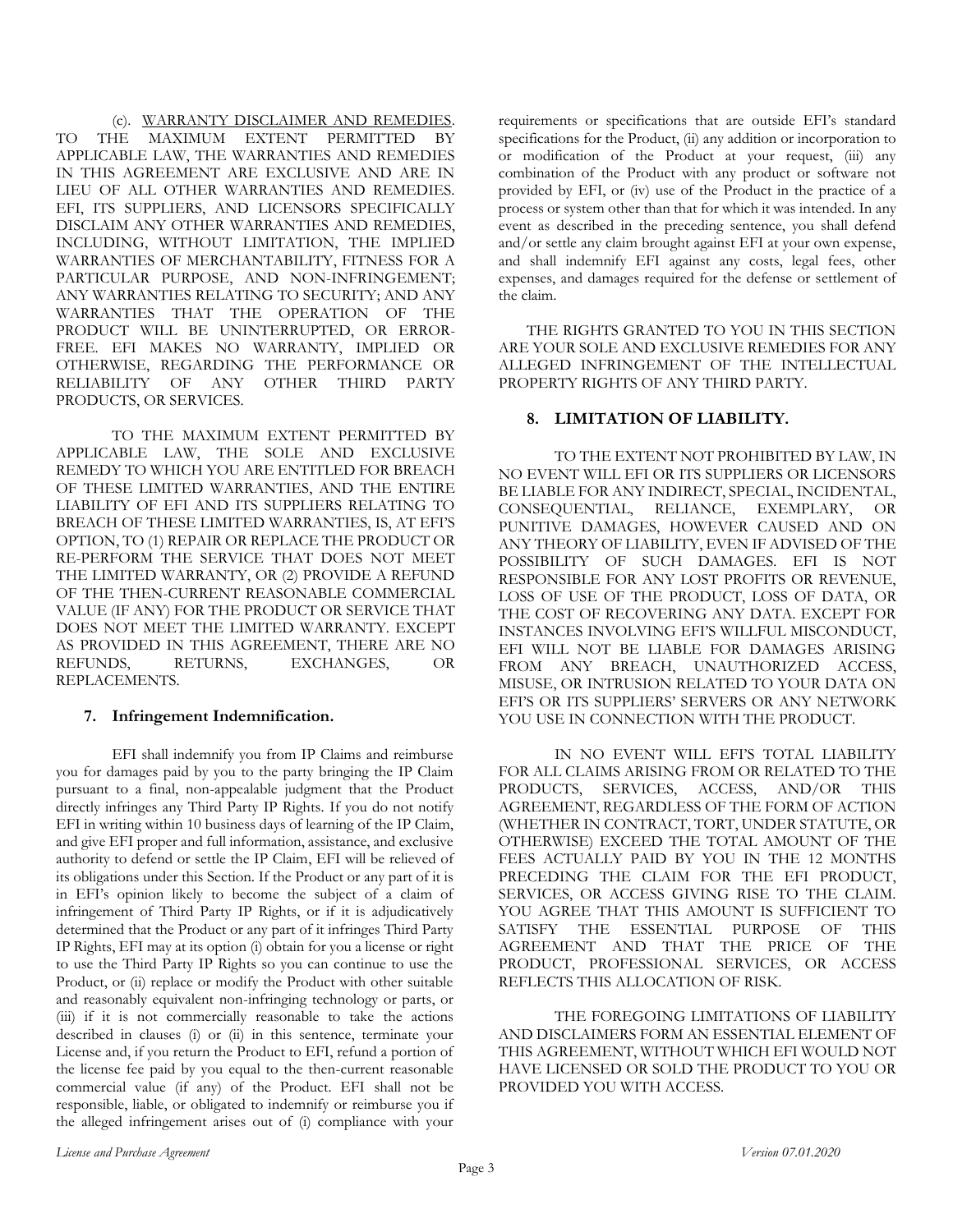(c). WARRANTY DISCLAIMER AND REMEDIES. TO THE MAXIMUM EXTENT PERMITTED BY APPLICABLE LAW, THE WARRANTIES AND REMEDIES IN THIS AGREEMENT ARE EXCLUSIVE AND ARE IN LIEU OF ALL OTHER WARRANTIES AND REMEDIES. EFI, ITS SUPPLIERS, AND LICENSORS SPECIFICALLY DISCLAIM ANY OTHER WARRANTIES AND REMEDIES, INCLUDING, WITHOUT LIMITATION, THE IMPLIED WARRANTIES OF MERCHANTABILITY, FITNESS FOR A PARTICULAR PURPOSE, AND NON-INFRINGEMENT; ANY WARRANTIES RELATING TO SECURITY; AND ANY WARRANTIES THAT THE OPERATION OF THE PRODUCT WILL BE UNINTERRUPTED, OR ERROR-FREE. EFI MAKES NO WARRANTY, IMPLIED OR OTHERWISE, REGARDING THE PERFORMANCE OR RELIABILITY OF ANY OTHER THIRD PARTY PRODUCTS, OR SERVICES.

TO THE MAXIMUM EXTENT PERMITTED BY APPLICABLE LAW, THE SOLE AND EXCLUSIVE REMEDY TO WHICH YOU ARE ENTITLED FOR BREACH OF THESE LIMITED WARRANTIES, AND THE ENTIRE LIABILITY OF EFI AND ITS SUPPLIERS RELATING TO BREACH OF THESE LIMITED WARRANTIES, IS, AT EFI'S OPTION, TO (1) REPAIR OR REPLACE THE PRODUCT OR RE-PERFORM THE SERVICE THAT DOES NOT MEET THE LIMITED WARRANTY, OR (2) PROVIDE A REFUND OF THE THEN-CURRENT REASONABLE COMMERCIAL VALUE (IF ANY) FOR THE PRODUCT OR SERVICE THAT DOES NOT MEET THE LIMITED WARRANTY. EXCEPT AS PROVIDED IN THIS AGREEMENT, THERE ARE NO REFUNDS, RETURNS, EXCHANGES, OR REPLACEMENTS.

# **7. Infringement Indemnification.**

EFI shall indemnify you from IP Claims and reimburse you for damages paid by you to the party bringing the IP Claim pursuant to a final, non-appealable judgment that the Product directly infringes any Third Party IP Rights. If you do not notify EFI in writing within 10 business days of learning of the IP Claim, and give EFI proper and full information, assistance, and exclusive authority to defend or settle the IP Claim, EFI will be relieved of its obligations under this Section. If the Product or any part of it is in EFI's opinion likely to become the subject of a claim of infringement of Third Party IP Rights, or if it is adjudicatively determined that the Product or any part of it infringes Third Party IP Rights, EFI may at its option (i) obtain for you a license or right to use the Third Party IP Rights so you can continue to use the Product, or (ii) replace or modify the Product with other suitable and reasonably equivalent non-infringing technology or parts, or (iii) if it is not commercially reasonable to take the actions described in clauses (i) or (ii) in this sentence, terminate your License and, if you return the Product to EFI, refund a portion of the license fee paid by you equal to the then-current reasonable commercial value (if any) of the Product. EFI shall not be responsible, liable, or obligated to indemnify or reimburse you if the alleged infringement arises out of (i) compliance with your

requirements or specifications that are outside EFI's standard specifications for the Product, (ii) any addition or incorporation to or modification of the Product at your request, (iii) any combination of the Product with any product or software not provided by EFI, or (iv) use of the Product in the practice of a process or system other than that for which it was intended. In any event as described in the preceding sentence, you shall defend and/or settle any claim brought against EFI at your own expense, and shall indemnify EFI against any costs, legal fees, other expenses, and damages required for the defense or settlement of the claim.

THE RIGHTS GRANTED TO YOU IN THIS SECTION ARE YOUR SOLE AND EXCLUSIVE REMEDIES FOR ANY ALLEGED INFRINGEMENT OF THE INTELLECTUAL PROPERTY RIGHTS OF ANY THIRD PARTY.

# **8. LIMITATION OF LIABILITY.**

TO THE EXTENT NOT PROHIBITED BY LAW, IN NO EVENT WILL EFI OR ITS SUPPLIERS OR LICENSORS BE LIABLE FOR ANY INDIRECT, SPECIAL, INCIDENTAL, CONSEQUENTIAL, RELIANCE, EXEMPLARY, OR PUNITIVE DAMAGES, HOWEVER CAUSED AND ON ANY THEORY OF LIABILITY, EVEN IF ADVISED OF THE POSSIBILITY OF SUCH DAMAGES. EFI IS NOT RESPONSIBLE FOR ANY LOST PROFITS OR REVENUE, LOSS OF USE OF THE PRODUCT, LOSS OF DATA, OR THE COST OF RECOVERING ANY DATA. EXCEPT FOR INSTANCES INVOLVING EFI'S WILLFUL MISCONDUCT, EFI WILL NOT BE LIABLE FOR DAMAGES ARISING FROM ANY BREACH, UNAUTHORIZED ACCESS, MISUSE, OR INTRUSION RELATED TO YOUR DATA ON EFI'S OR ITS SUPPLIERS' SERVERS OR ANY NETWORK YOU USE IN CONNECTION WITH THE PRODUCT.

IN NO EVENT WILL EFI'S TOTAL LIABILITY FOR ALL CLAIMS ARISING FROM OR RELATED TO THE PRODUCTS, SERVICES, ACCESS, AND/OR THIS AGREEMENT, REGARDLESS OF THE FORM OF ACTION (WHETHER IN CONTRACT, TORT, UNDER STATUTE, OR OTHERWISE) EXCEED THE TOTAL AMOUNT OF THE FEES ACTUALLY PAID BY YOU IN THE 12 MONTHS PRECEDING THE CLAIM FOR THE EFI PRODUCT, SERVICES, OR ACCESS GIVING RISE TO THE CLAIM. YOU AGREE THAT THIS AMOUNT IS SUFFICIENT TO SATISFY THE ESSENTIAL PURPOSE OF THIS AGREEMENT AND THAT THE PRICE OF THE PRODUCT, PROFESSIONAL SERVICES, OR ACCESS REFLECTS THIS ALLOCATION OF RISK.

THE FOREGOING LIMITATIONS OF LIABILITY AND DISCLAIMERS FORM AN ESSENTIAL ELEMENT OF THIS AGREEMENT, WITHOUT WHICH EFI WOULD NOT HAVE LICENSED OR SOLD THE PRODUCT TO YOU OR PROVIDED YOU WITH ACCESS.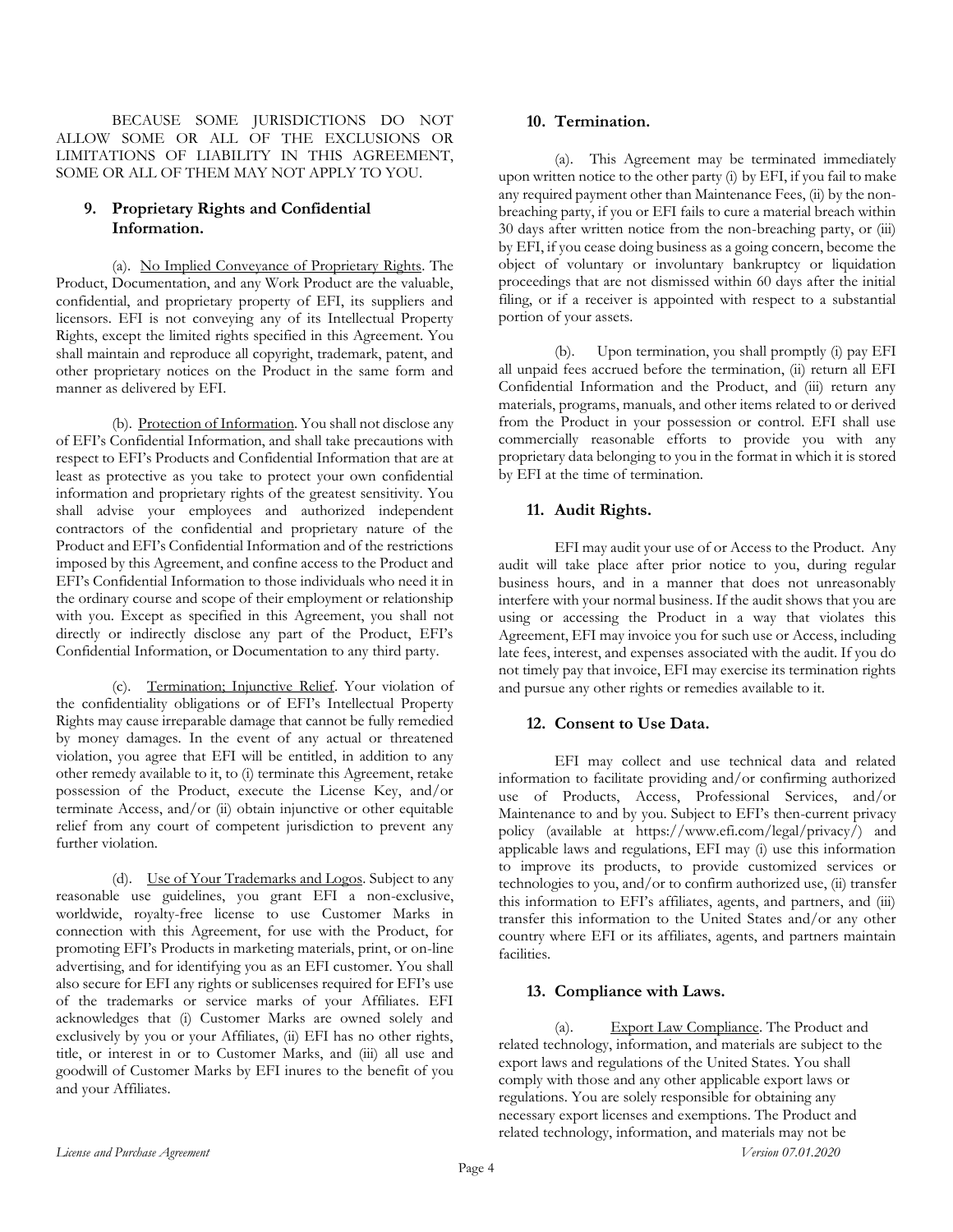BECAUSE SOME JURISDICTIONS DO NOT ALLOW SOME OR ALL OF THE EXCLUSIONS OR LIMITATIONS OF LIABILITY IN THIS AGREEMENT, SOME OR ALL OF THEM MAY NOT APPLY TO YOU.

# **9. Proprietary Rights and Confidential Information.**

(a). No Implied Conveyance of Proprietary Rights. The Product, Documentation, and any Work Product are the valuable, confidential, and proprietary property of EFI, its suppliers and licensors. EFI is not conveying any of its Intellectual Property Rights, except the limited rights specified in this Agreement. You shall maintain and reproduce all copyright, trademark, patent, and other proprietary notices on the Product in the same form and manner as delivered by EFI.

(b). Protection of Information. You shall not disclose any of EFI's Confidential Information, and shall take precautions with respect to EFI's Products and Confidential Information that are at least as protective as you take to protect your own confidential information and proprietary rights of the greatest sensitivity. You shall advise your employees and authorized independent contractors of the confidential and proprietary nature of the Product and EFI's Confidential Information and of the restrictions imposed by this Agreement, and confine access to the Product and EFI's Confidential Information to those individuals who need it in the ordinary course and scope of their employment or relationship with you. Except as specified in this Agreement, you shall not directly or indirectly disclose any part of the Product, EFI's Confidential Information, or Documentation to any third party.

(c). Termination; Injunctive Relief. Your violation of the confidentiality obligations or of EFI's Intellectual Property Rights may cause irreparable damage that cannot be fully remedied by money damages. In the event of any actual or threatened violation, you agree that EFI will be entitled, in addition to any other remedy available to it, to (i) terminate this Agreement, retake possession of the Product, execute the License Key, and/or terminate Access, and/or (ii) obtain injunctive or other equitable relief from any court of competent jurisdiction to prevent any further violation.

(d). Use of Your Trademarks and Logos. Subject to any reasonable use guidelines, you grant EFI a non-exclusive, worldwide, royalty-free license to use Customer Marks in connection with this Agreement, for use with the Product, for promoting EFI's Products in marketing materials, print, or on-line advertising, and for identifying you as an EFI customer. You shall also secure for EFI any rights or sublicenses required for EFI's use of the trademarks or service marks of your Affiliates. EFI acknowledges that (i) Customer Marks are owned solely and exclusively by you or your Affiliates, (ii) EFI has no other rights, title, or interest in or to Customer Marks, and (iii) all use and goodwill of Customer Marks by EFI inures to the benefit of you and your Affiliates.

### **10. Termination.**

(a). This Agreement may be terminated immediately upon written notice to the other party (i) by EFI, if you fail to make any required payment other than Maintenance Fees, (ii) by the nonbreaching party, if you or EFI fails to cure a material breach within 30 days after written notice from the non-breaching party, or (iii) by EFI, if you cease doing business as a going concern, become the object of voluntary or involuntary bankruptcy or liquidation proceedings that are not dismissed within 60 days after the initial filing, or if a receiver is appointed with respect to a substantial portion of your assets.

(b). Upon termination, you shall promptly (i) pay EFI all unpaid fees accrued before the termination, (ii) return all EFI Confidential Information and the Product, and (iii) return any materials, programs, manuals, and other items related to or derived from the Product in your possession or control. EFI shall use commercially reasonable efforts to provide you with any proprietary data belonging to you in the format in which it is stored by EFI at the time of termination.

# **11. Audit Rights.**

EFI may audit your use of or Access to the Product. Any audit will take place after prior notice to you, during regular business hours, and in a manner that does not unreasonably interfere with your normal business. If the audit shows that you are using or accessing the Product in a way that violates this Agreement, EFI may invoice you for such use or Access, including late fees, interest, and expenses associated with the audit. If you do not timely pay that invoice, EFI may exercise its termination rights and pursue any other rights or remedies available to it.

# **12. Consent to Use Data.**

EFI may collect and use technical data and related information to facilitate providing and/or confirming authorized use of Products, Access, Professional Services, and/or Maintenance to and by you. Subject to EFI's then-current privacy policy (available at https://www.efi.com/legal/privacy/) and applicable laws and regulations, EFI may (i) use this information to improve its products, to provide customized services or technologies to you, and/or to confirm authorized use, (ii) transfer this information to EFI's affiliates, agents, and partners, and (iii) transfer this information to the United States and/or any other country where EFI or its affiliates, agents, and partners maintain facilities.

# **13. Compliance with Laws.**

(a). Export Law Compliance. The Product and related technology, information, and materials are subject to the export laws and regulations of the United States. You shall comply with those and any other applicable export laws or regulations. You are solely responsible for obtaining any necessary export licenses and exemptions. The Product and related technology, information, and materials may not be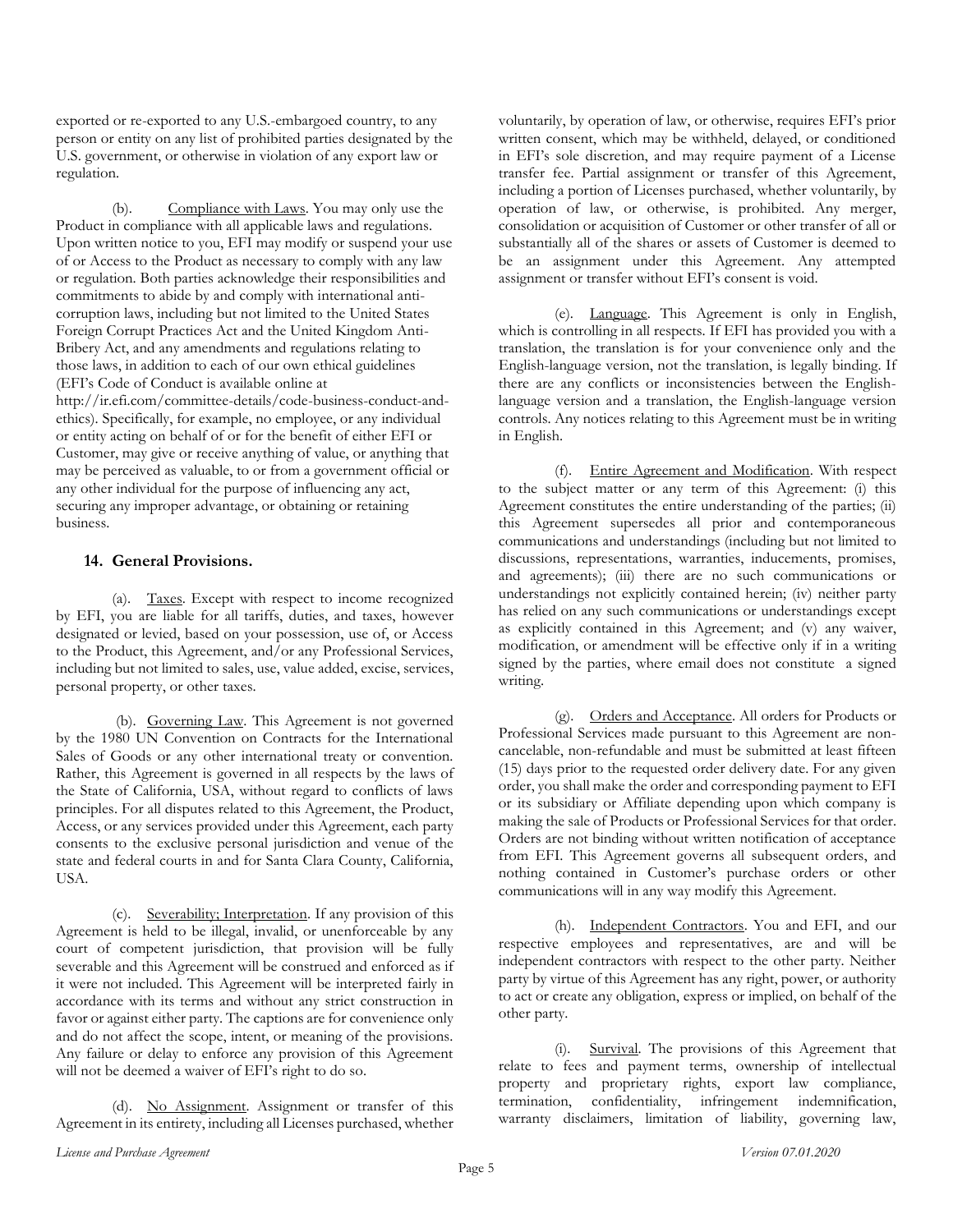exported or re-exported to any U.S.-embargoed country, to any person or entity on any list of prohibited parties designated by the U.S. government, or otherwise in violation of any export law or regulation.

Compliance with Laws. You may only use the Product in compliance with all applicable laws and regulations. Upon written notice to you, EFI may modify or suspend your use of or Access to the Product as necessary to comply with any law or regulation. Both parties acknowledge their responsibilities and commitments to abide by and comply with international anticorruption laws, including but not limited to the United States Foreign Corrupt Practices Act and the United Kingdom Anti-Bribery Act, and any amendments and regulations relating to those laws, in addition to each of our own ethical guidelines (EFI's Code of Conduct is available online at [http://ir.efi.com/committee-details/code-business-conduct-and](http://ir.efi.com/committee-details/code-business-conduct-and-ethics)[ethics\)](http://ir.efi.com/committee-details/code-business-conduct-and-ethics). Specifically, for example, no employee, or any individual or entity acting on behalf of or for the benefit of either EFI or Customer, may give or receive anything of value, or anything that may be perceived as valuable, to or from a government official or any other individual for the purpose of influencing any act, securing any improper advantage, or obtaining or retaining business.

### **14. General Provisions.**

(a). Taxes. Except with respect to income recognized by EFI, you are liable for all tariffs, duties, and taxes, however designated or levied, based on your possession, use of, or Access to the Product, this Agreement, and/or any Professional Services, including but not limited to sales, use, value added, excise, services, personal property, or other taxes.

(b). Governing Law. This Agreement is not governed by the 1980 UN Convention on Contracts for the International Sales of Goods or any other international treaty or convention. Rather, this Agreement is governed in all respects by the laws of the State of California, USA, without regard to conflicts of laws principles. For all disputes related to this Agreement, the Product, Access, or any services provided under this Agreement, each party consents to the exclusive personal jurisdiction and venue of the state and federal courts in and for Santa Clara County, California, USA.

(c). Severability; Interpretation. If any provision of this Agreement is held to be illegal, invalid, or unenforceable by any court of competent jurisdiction, that provision will be fully severable and this Agreement will be construed and enforced as if it were not included. This Agreement will be interpreted fairly in accordance with its terms and without any strict construction in favor or against either party. The captions are for convenience only and do not affect the scope, intent, or meaning of the provisions. Any failure or delay to enforce any provision of this Agreement will not be deemed a waiver of EFI's right to do so.

(d). No Assignment. Assignment or transfer of this Agreement in its entirety, including all Licenses purchased, whether voluntarily, by operation of law, or otherwise, requires EFI's prior written consent, which may be withheld, delayed, or conditioned in EFI's sole discretion, and may require payment of a License transfer fee. Partial assignment or transfer of this Agreement, including a portion of Licenses purchased, whether voluntarily, by operation of law, or otherwise, is prohibited. Any merger, consolidation or acquisition of Customer or other transfer of all or substantially all of the shares or assets of Customer is deemed to be an assignment under this Agreement. Any attempted assignment or transfer without EFI's consent is void.

(e). Language. This Agreement is only in English, which is controlling in all respects. If EFI has provided you with a translation, the translation is for your convenience only and the English-language version, not the translation, is legally binding. If there are any conflicts or inconsistencies between the Englishlanguage version and a translation, the English-language version controls. Any notices relating to this Agreement must be in writing in English.

(f). Entire Agreement and Modification. With respect to the subject matter or any term of this Agreement: (i) this Agreement constitutes the entire understanding of the parties; (ii) this Agreement supersedes all prior and contemporaneous communications and understandings (including but not limited to discussions, representations, warranties, inducements, promises, and agreements); (iii) there are no such communications or understandings not explicitly contained herein; (iv) neither party has relied on any such communications or understandings except as explicitly contained in this Agreement; and (v) any waiver, modification, or amendment will be effective only if in a writing signed by the parties, where email does not constitute a signed writing.

(g). Orders and Acceptance. All orders for Products or Professional Services made pursuant to this Agreement are noncancelable, non-refundable and must be submitted at least fifteen (15) days prior to the requested order delivery date. For any given order, you shall make the order and corresponding payment to EFI or its subsidiary or Affiliate depending upon which company is making the sale of Products or Professional Services for that order. Orders are not binding without written notification of acceptance from EFI. This Agreement governs all subsequent orders, and nothing contained in Customer's purchase orders or other communications will in any way modify this Agreement.

(h). Independent Contractors. You and EFI, and our respective employees and representatives, are and will be independent contractors with respect to the other party. Neither party by virtue of this Agreement has any right, power, or authority to act or create any obligation, express or implied, on behalf of the other party.

(i). Survival. The provisions of this Agreement that relate to fees and payment terms, ownership of intellectual property and proprietary rights, export law compliance, termination, confidentiality, infringement indemnification, warranty disclaimers, limitation of liability, governing law,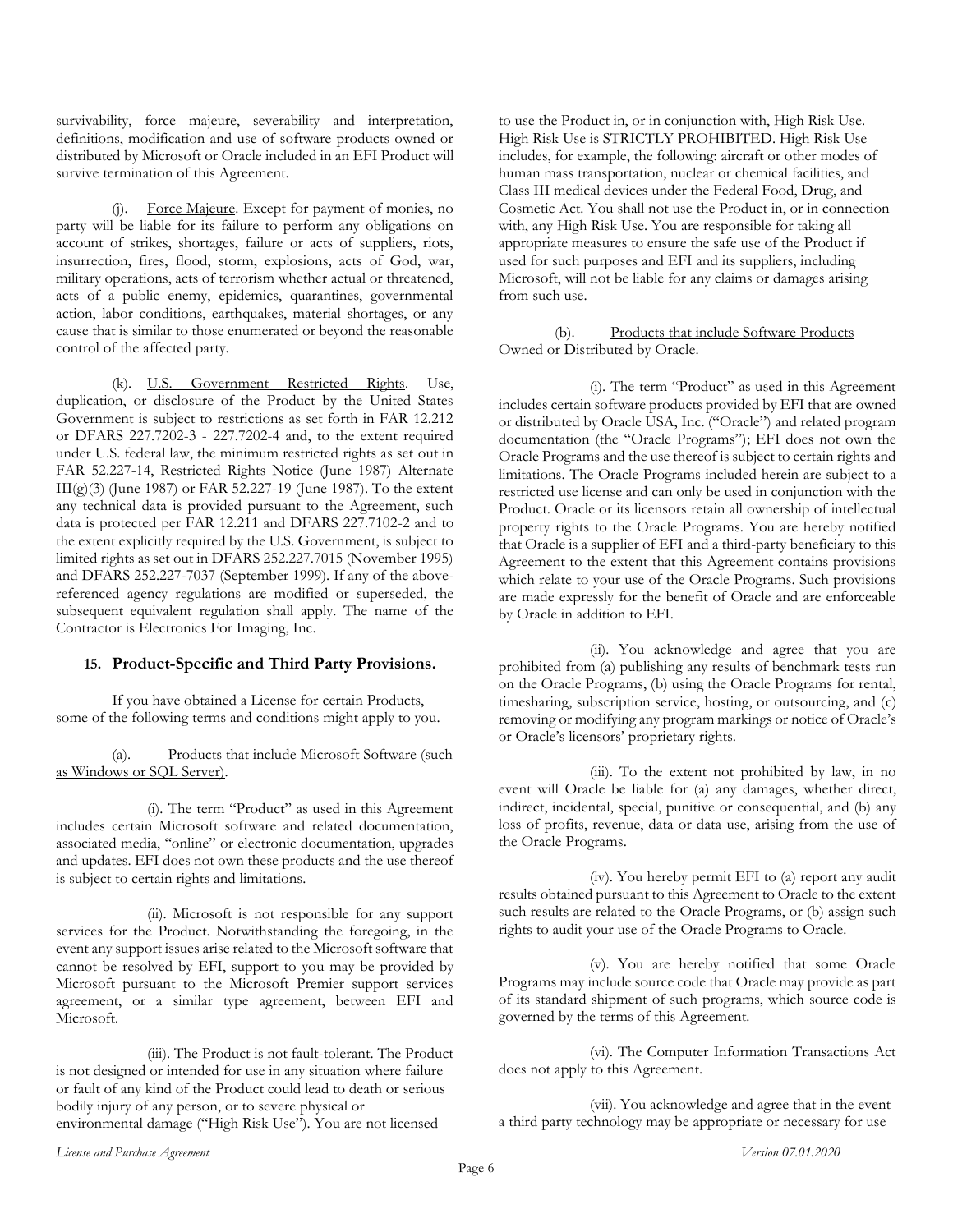survivability, force majeure, severability and interpretation, definitions, modification and use of software products owned or distributed by Microsoft or Oracle included in an EFI Product will survive termination of this Agreement.

(j). Force Majeure. Except for payment of monies, no party will be liable for its failure to perform any obligations on account of strikes, shortages, failure or acts of suppliers, riots, insurrection, fires, flood, storm, explosions, acts of God, war, military operations, acts of terrorism whether actual or threatened, acts of a public enemy, epidemics, quarantines, governmental action, labor conditions, earthquakes, material shortages, or any cause that is similar to those enumerated or beyond the reasonable control of the affected party.

(k). U.S. Government Restricted Rights. Use, duplication, or disclosure of the Product by the United States Government is subject to restrictions as set forth in FAR 12.212 or DFARS 227.7202-3 - 227.7202-4 and, to the extent required under U.S. federal law, the minimum restricted rights as set out in FAR 52.227-14, Restricted Rights Notice (June 1987) Alternate III(g)(3) (June 1987) or FAR 52.227-19 (June 1987). To the extent any technical data is provided pursuant to the Agreement, such data is protected per FAR 12.211 and DFARS 227.7102-2 and to the extent explicitly required by the U.S. Government, is subject to limited rights as set out in DFARS 252.227.7015 (November 1995) and DFARS 252.227-7037 (September 1999). If any of the abovereferenced agency regulations are modified or superseded, the subsequent equivalent regulation shall apply. The name of the Contractor is Electronics For Imaging, Inc.

#### **15. Product-Specific and Third Party Provisions.**

If you have obtained a License for certain Products, some of the following terms and conditions might apply to you.

(a). Products that include Microsoft Software (such as Windows or SQL Server).

(i). The term "Product" as used in this Agreement includes certain Microsoft software and related documentation, associated media, "online" or electronic documentation, upgrades and updates. EFI does not own these products and the use thereof is subject to certain rights and limitations.

(ii). Microsoft is not responsible for any support services for the Product. Notwithstanding the foregoing, in the event any support issues arise related to the Microsoft software that cannot be resolved by EFI, support to you may be provided by Microsoft pursuant to the Microsoft Premier support services agreement, or a similar type agreement, between EFI and Microsoft.

(iii). The Product is not fault-tolerant. The Product is not designed or intended for use in any situation where failure or fault of any kind of the Product could lead to death or serious bodily injury of any person, or to severe physical or environmental damage ("High Risk Use"). You are not licensed

to use the Product in, or in conjunction with, High Risk Use. High Risk Use is STRICTLY PROHIBITED. High Risk Use includes, for example, the following: aircraft or other modes of human mass transportation, nuclear or chemical facilities, and Class III medical devices under the Federal Food, Drug, and Cosmetic Act. You shall not use the Product in, or in connection with, any High Risk Use. You are responsible for taking all appropriate measures to ensure the safe use of the Product if used for such purposes and EFI and its suppliers, including Microsoft, will not be liable for any claims or damages arising from such use.

### (b). Products that include Software Products Owned or Distributed by Oracle.

(i). The term "Product" as used in this Agreement includes certain software products provided by EFI that are owned or distributed by Oracle USA, Inc. ("Oracle") and related program documentation (the "Oracle Programs"); EFI does not own the Oracle Programs and the use thereof is subject to certain rights and limitations. The Oracle Programs included herein are subject to a restricted use license and can only be used in conjunction with the Product. Oracle or its licensors retain all ownership of intellectual property rights to the Oracle Programs. You are hereby notified that Oracle is a supplier of EFI and a third-party beneficiary to this Agreement to the extent that this Agreement contains provisions which relate to your use of the Oracle Programs. Such provisions are made expressly for the benefit of Oracle and are enforceable by Oracle in addition to EFI.

(ii). You acknowledge and agree that you are prohibited from (a) publishing any results of benchmark tests run on the Oracle Programs, (b) using the Oracle Programs for rental, timesharing, subscription service, hosting, or outsourcing, and (c) removing or modifying any program markings or notice of Oracle's or Oracle's licensors' proprietary rights.

(iii). To the extent not prohibited by law, in no event will Oracle be liable for (a) any damages, whether direct, indirect, incidental, special, punitive or consequential, and (b) any loss of profits, revenue, data or data use, arising from the use of the Oracle Programs.

(iv). You hereby permit EFI to (a) report any audit results obtained pursuant to this Agreement to Oracle to the extent such results are related to the Oracle Programs, or (b) assign such rights to audit your use of the Oracle Programs to Oracle.

(v). You are hereby notified that some Oracle Programs may include source code that Oracle may provide as part of its standard shipment of such programs, which source code is governed by the terms of this Agreement.

(vi). The Computer Information Transactions Act does not apply to this Agreement.

(vii). You acknowledge and agree that in the event a third party technology may be appropriate or necessary for use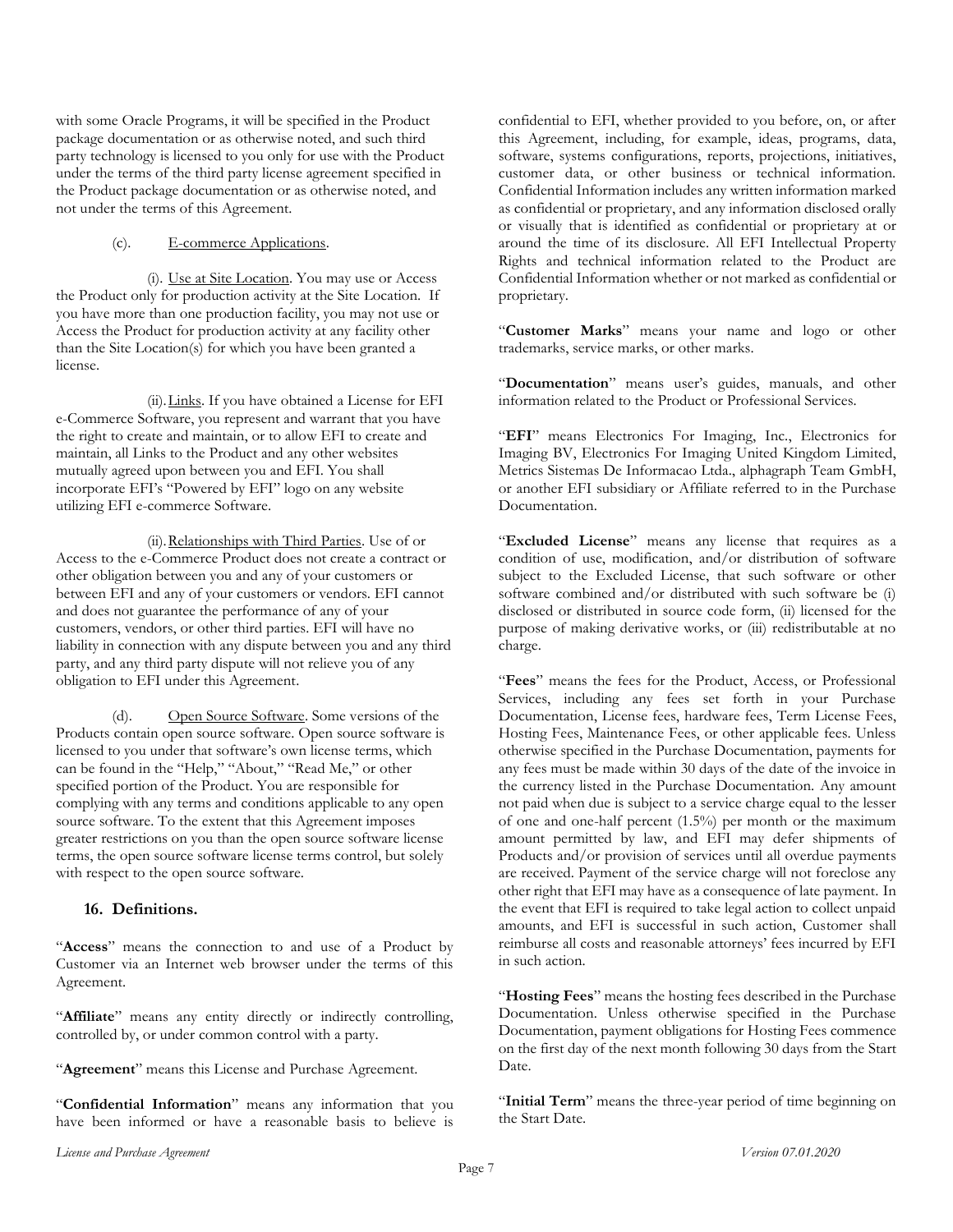with some Oracle Programs, it will be specified in the Product package documentation or as otherwise noted, and such third party technology is licensed to you only for use with the Product under the terms of the third party license agreement specified in the Product package documentation or as otherwise noted, and not under the terms of this Agreement.

#### (c). E-commerce Applications.

(i). Use at Site Location. You may use or Access the Product only for production activity at the Site Location. If you have more than one production facility, you may not use or Access the Product for production activity at any facility other than the Site Location(s) for which you have been granted a license.

(ii). Links. If you have obtained a License for EFI e-Commerce Software, you represent and warrant that you have the right to create and maintain, or to allow EFI to create and maintain, all Links to the Product and any other websites mutually agreed upon between you and EFI. You shall incorporate EFI's "Powered by EFI" logo on any website utilizing EFI e-commerce Software.

(ii).Relationships with Third Parties. Use of or Access to the e-Commerce Product does not create a contract or other obligation between you and any of your customers or between EFI and any of your customers or vendors. EFI cannot and does not guarantee the performance of any of your customers, vendors, or other third parties. EFI will have no liability in connection with any dispute between you and any third party, and any third party dispute will not relieve you of any obligation to EFI under this Agreement.

(d). Open Source Software. Some versions of the Products contain open source software. Open source software is licensed to you under that software's own license terms, which can be found in the "Help," "About," "Read Me," or other specified portion of the Product. You are responsible for complying with any terms and conditions applicable to any open source software. To the extent that this Agreement imposes greater restrictions on you than the open source software license terms, the open source software license terms control, but solely with respect to the open source software.

# **16. Definitions.**

"**Access**" means the connection to and use of a Product by Customer via an Internet web browser under the terms of this Agreement.

"Affiliate" means any entity directly or indirectly controlling, controlled by, or under common control with a party.

"**Agreement**" means this License and Purchase Agreement.

"**Confidential Information**" means any information that you have been informed or have a reasonable basis to believe is confidential to EFI, whether provided to you before, on, or after this Agreement, including, for example, ideas, programs, data, software, systems configurations, reports, projections, initiatives, customer data, or other business or technical information. Confidential Information includes any written information marked as confidential or proprietary, and any information disclosed orally or visually that is identified as confidential or proprietary at or around the time of its disclosure. All EFI Intellectual Property Rights and technical information related to the Product are Confidential Information whether or not marked as confidential or proprietary.

"**Customer Marks**" means your name and logo or other trademarks, service marks, or other marks.

"**Documentation**" means user's guides, manuals, and other information related to the Product or Professional Services.

"**EFI**" means Electronics For Imaging, Inc., Electronics for Imaging BV, Electronics For Imaging United Kingdom Limited, Metrics Sistemas De Informacao Ltda., alphagraph Team GmbH, or another EFI subsidiary or Affiliate referred to in the Purchase Documentation.

"**Excluded License**" means any license that requires as a condition of use, modification, and/or distribution of software subject to the Excluded License, that such software or other software combined and/or distributed with such software be (i) disclosed or distributed in source code form, (ii) licensed for the purpose of making derivative works, or (iii) redistributable at no charge.

"**Fees**" means the fees for the Product, Access, or Professional Services, including any fees set forth in your Purchase Documentation, License fees, hardware fees, Term License Fees, Hosting Fees, Maintenance Fees, or other applicable fees. Unless otherwise specified in the Purchase Documentation, payments for any fees must be made within 30 days of the date of the invoice in the currency listed in the Purchase Documentation. Any amount not paid when due is subject to a service charge equal to the lesser of one and one-half percent (1.5%) per month or the maximum amount permitted by law, and EFI may defer shipments of Products and/or provision of services until all overdue payments are received. Payment of the service charge will not foreclose any other right that EFI may have as a consequence of late payment. In the event that EFI is required to take legal action to collect unpaid amounts, and EFI is successful in such action, Customer shall reimburse all costs and reasonable attorneys' fees incurred by EFI in such action.

"**Hosting Fees**" means the hosting fees described in the Purchase Documentation. Unless otherwise specified in the Purchase Documentation, payment obligations for Hosting Fees commence on the first day of the next month following 30 days from the Start Date.

"**Initial Term**" means the three-year period of time beginning on the Start Date.